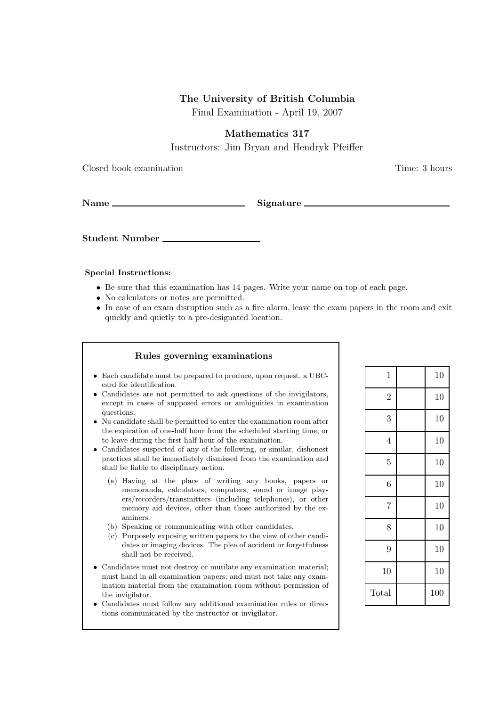## The University of British Columbia

Final Examination - April 19, 2007

Mathematics 317

Instructors: Jim Bryan and Hendryk Pfeiffer

Closed book examination **Time:** 3 hours

Name Signature Signature

Student Number

Special Instructions:

- Be sure that this examination has 14 pages. Write your name on top of each page.
- No calculators or notes are permitted.
- In case of an exam disruption such as a fire alarm, leave the exam papers in the room and exit quickly and quietly to a pre-designated location.

### Rules governing examinations

- Each candidate must be prepared to produce, upon request, a UBCcard for identification.
- Candidates are not permitted to ask questions of the invigilators, except in cases of supposed errors or ambiguities in examination questions.
- No candidate shall be permitted to enter the examination room after the expiration of one-half hour from the scheduled starting time, or to leave during the first half hour of the examination.
- Candidates suspected of any of the following, or similar, dishonest practices shall be immediately dismissed from the examination and shall be liable to disciplinary action.
	- (a) Having at the place of writing any books, papers or memoranda, calculators, computers, sound or image players/recorders/transmitters (including telephones), or other memory aid devices, other than those authorized by the examiners.
	- (b) Speaking or communicating with other candidates.
	- (c) Purposely exposing written papers to the view of other candidates or imaging devices. The plea of accident or forgetfulness shall not be received.
- Candidates must not destroy or mutilate any examination material; must hand in all examination papers; and must not take any examination material from the examination room without permission of the invigilator.
- Candidates must follow any additional examination rules or directions communicated by the instructor or invigilator.

| $\mathbf{1}$   | 10  |
|----------------|-----|
| $\overline{2}$ | 10  |
| 3              | 10  |
| $\overline{4}$ | 10  |
| $\overline{5}$ | 10  |
| 6              | 10  |
| $\overline{7}$ | 10  |
| 8              | 10  |
| 9              | 10  |
| 10             | 10  |
| Total          | 100 |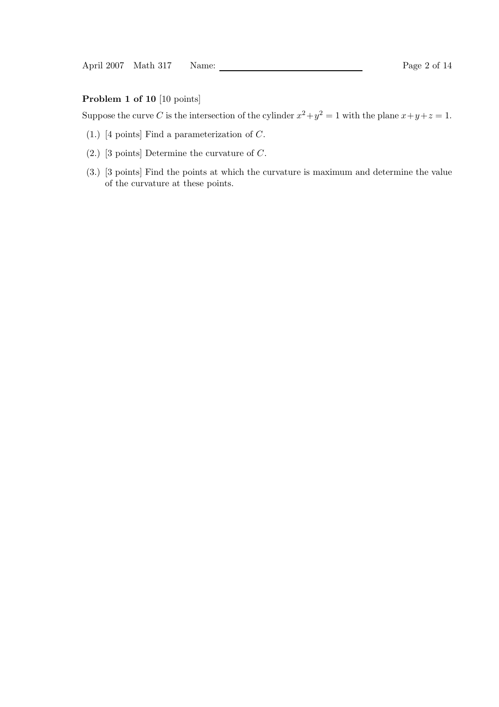### Problem 1 of 10 [10 points]

Suppose the curve C is the intersection of the cylinder  $x^2 + y^2 = 1$  with the plane  $x + y + z = 1$ .

- (1.) [4 points] Find a parameterization of C.
- (2.) [3 points] Determine the curvature of C.
- (3.) [3 points] Find the points at which the curvature is maximum and determine the value of the curvature at these points.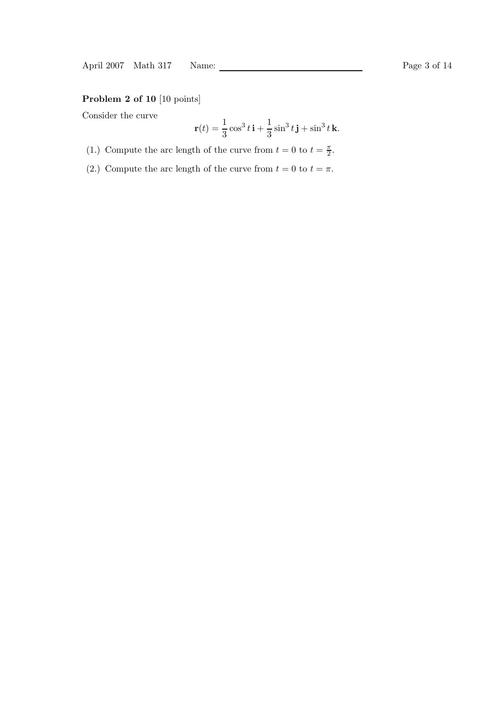Consider the curve

$$
\mathbf{r}(t) = \frac{1}{3}\cos^3 t \,\mathbf{i} + \frac{1}{3}\sin^3 t \,\mathbf{j} + \sin^3 t \,\mathbf{k}.
$$

- (1.) Compute the arc length of the curve from  $t = 0$  to  $t = \frac{\pi}{2}$ .
- (2.) Compute the arc length of the curve from  $t = 0$  to  $t = \pi$ .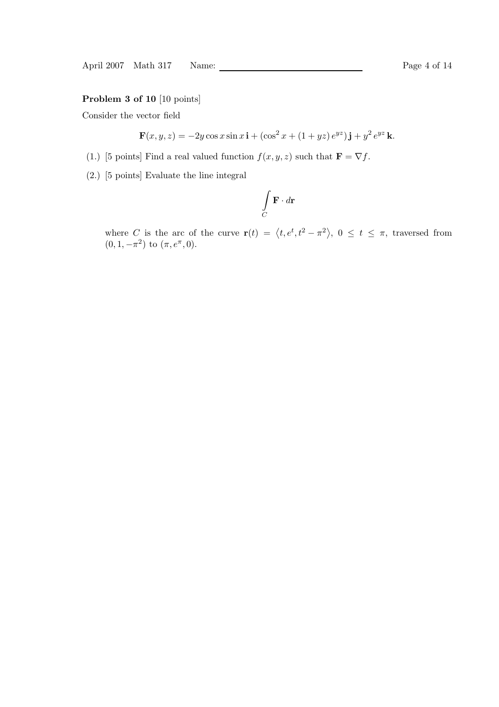### Problem 3 of 10 [10 points]

Consider the vector field

$$
\mathbf{F}(x, y, z) = -2y \cos x \sin x \mathbf{i} + (\cos^2 x + (1 + yz)e^{yz})\mathbf{j} + y^2 e^{yz}\mathbf{k}.
$$

- (1.) [5 points] Find a real valued function  $f(x, y, z)$  such that  $\mathbf{F} = \nabla f$ .
- (2.) [5 points] Evaluate the line integral

$$
\int\limits_C \mathbf{F} \cdot d\mathbf{r}
$$

where C is the arc of the curve  $\mathbf{r}(t) = \langle t, e^t, t^2 - \pi^2 \rangle$ ,  $0 \le t \le \pi$ , traversed from  $(0, 1, -\pi^2)$  to  $(\pi, e^{\pi}, 0)$ .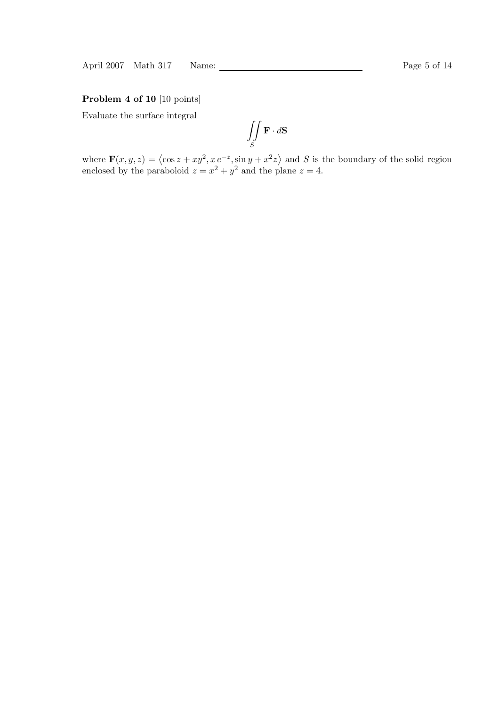### Problem 4 of 10 [10 points]

Evaluate the surface integral

$$
\iint\limits_{S} \mathbf{F} \cdot d\mathbf{S}
$$

where  $\mathbf{F}(x, y, z) = \langle \cos z + xy^2, x e^{-z}, \sin y + x^2 z \rangle$  and S is the boundary of the solid region enclosed by the paraboloid  $z = x^2 + y^2$  and the plane  $z = 4$ .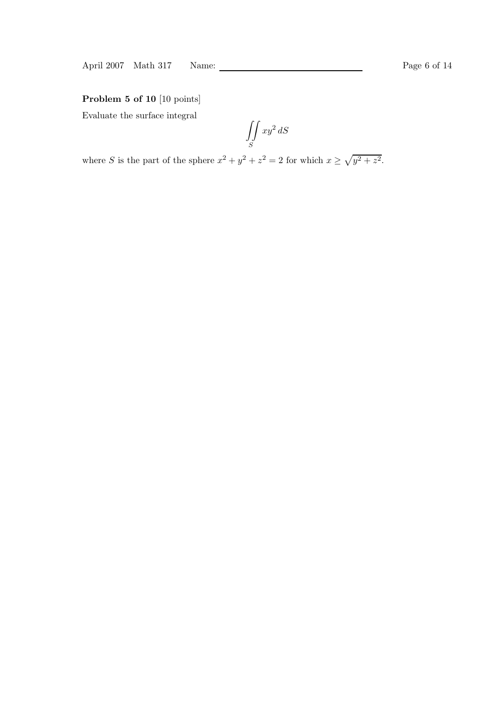Evaluate the surface integral

$$
\iint\limits_{S} xy^2 \, dS
$$

where S is the part of the sphere  $x^2 + y^2 + z^2 = 2$  for which  $x \ge \sqrt{y^2 + z^2}$ .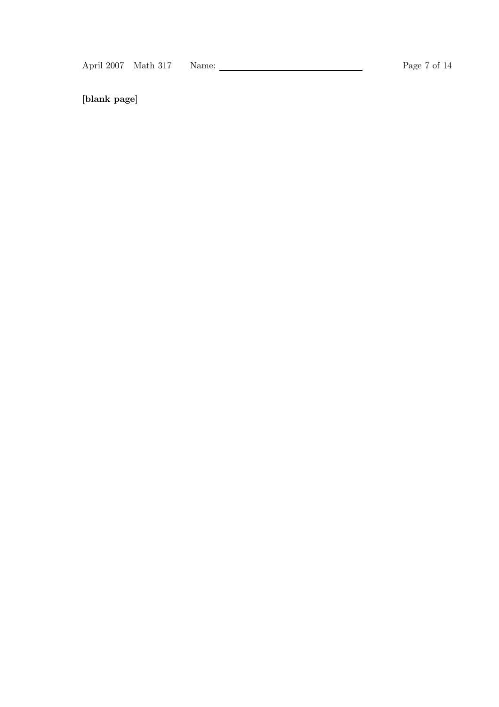April 2007 Math 317 Name: 2008 Math 317 Name: 2008 Page 7 of 14

[blank page]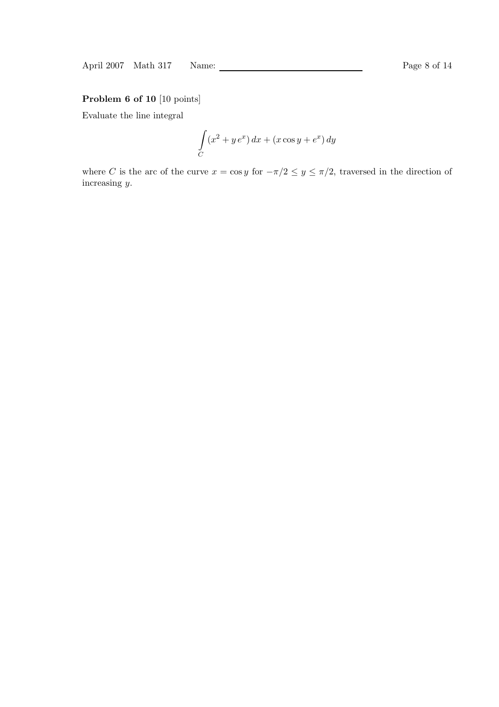Problem 6 of 10 [10 points]

Evaluate the line integral

$$
\int_C (x^2 + y e^x) dx + (x \cos y + e^x) dy
$$

where C is the arc of the curve  $x = \cos y$  for  $-\pi/2 \le y \le \pi/2$ , traversed in the direction of increasing y.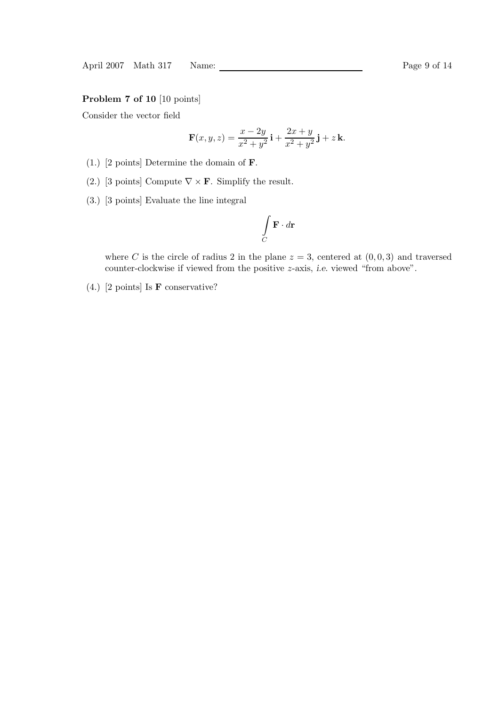### Problem 7 of 10 [10 points]

Consider the vector field

$$
\mathbf{F}(x, y, z) = \frac{x - 2y}{x^2 + y^2}\,\mathbf{i} + \frac{2x + y}{x^2 + y^2}\,\mathbf{j} + z\,\mathbf{k}.
$$

- (1.) [2 points] Determine the domain of F.
- (2.) [3 points] Compute  $\nabla \times \mathbf{F}$ . Simplify the result.
- (3.) [3 points] Evaluate the line integral

$$
\int\limits_C \mathbf{F} \cdot d\mathbf{r}
$$

where C is the circle of radius 2 in the plane  $z = 3$ , centered at  $(0, 0, 3)$  and traversed counter-clockwise if viewed from the positive z-axis, i.e. viewed "from above".

(4.) [2 points] Is F conservative?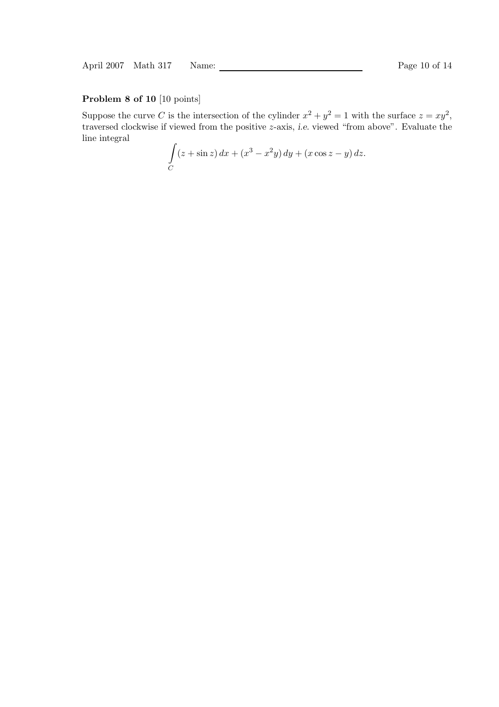# Problem 8 of 10 [10 points]

Suppose the curve C is the intersection of the cylinder  $x^2 + y^2 = 1$  with the surface  $z = xy^2$ , traversed clockwise if viewed from the positive z-axis, i.e. viewed "from above". Evaluate the line integral

$$
\int_{C} (z + \sin z) \, dx + (x^3 - x^2 y) \, dy + (x \cos z - y) \, dz.
$$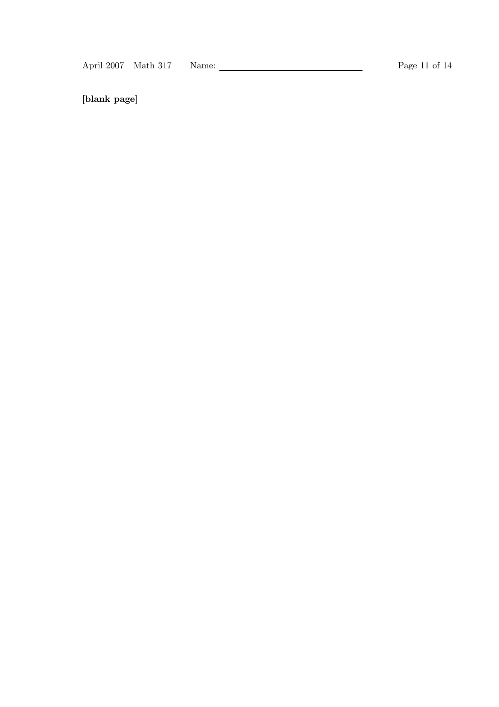April 2007 Math 317 Name: 2008 Math 317 Name: 2008 Page 11 of 14

[blank page]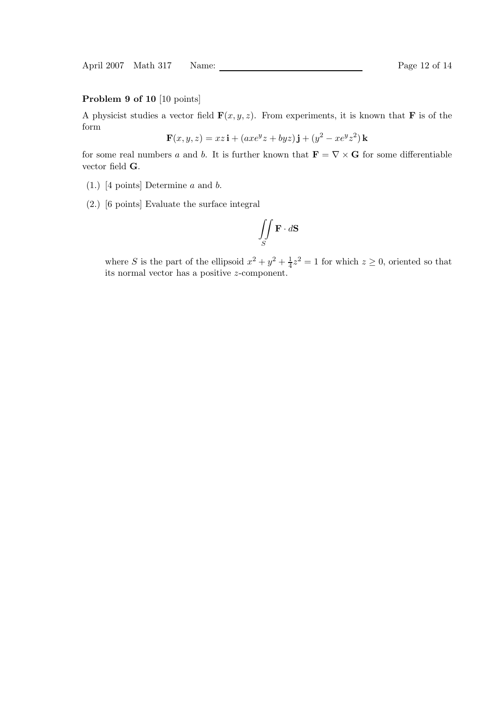April 2007 Math 317 Name: Page 12 of 14

### Problem 9 of 10 [10 points]

A physicist studies a vector field  $\mathbf{F}(x, y, z)$ . From experiments, it is known that **F** is of the form

$$
\mathbf{F}(x, y, z) = xz\,\mathbf{i} + (axe^{y}z + byz)\,\mathbf{j} + (y^{2} - xe^{y}z^{2})\,\mathbf{k}
$$

for some real numbers a and b. It is further known that  $\mathbf{F} = \nabla \times \mathbf{G}$  for some differentiable vector field G.

- (1.) [4 points] Determine a and b.
- (2.) [6 points] Evaluate the surface integral

$$
\iint\limits_{S} \mathbf{F} \cdot d\mathbf{S}
$$

where S is the part of the ellipsoid  $x^2 + y^2 + \frac{1}{4}$  $\frac{1}{4}z^2 = 1$  for which  $z \ge 0$ , oriented so that its normal vector has a positive z-component.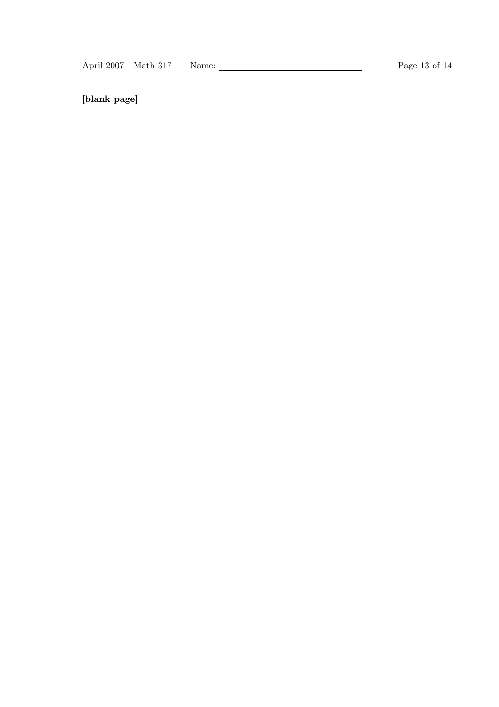April 2007 Math 317 Name: 2008 Math 317 Name: 2008 Page 13 of 14

[blank page]